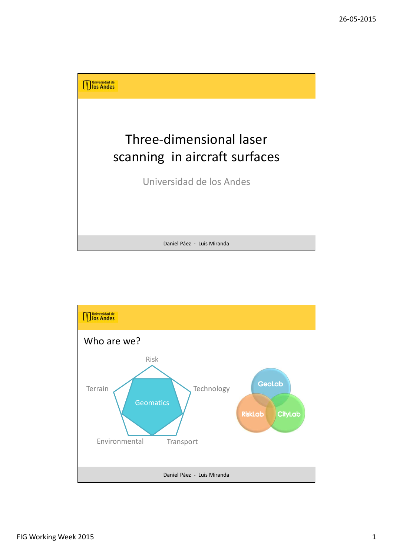

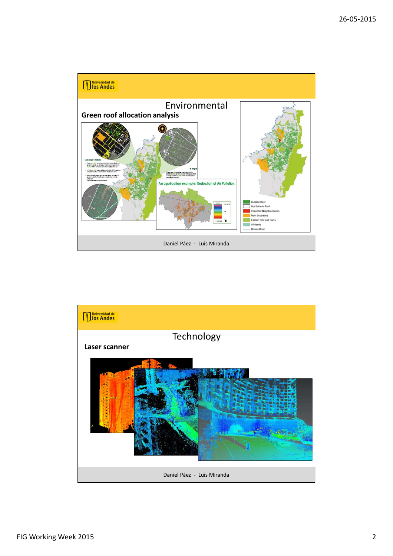

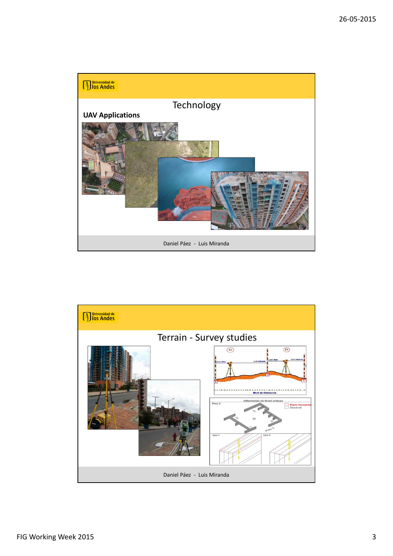

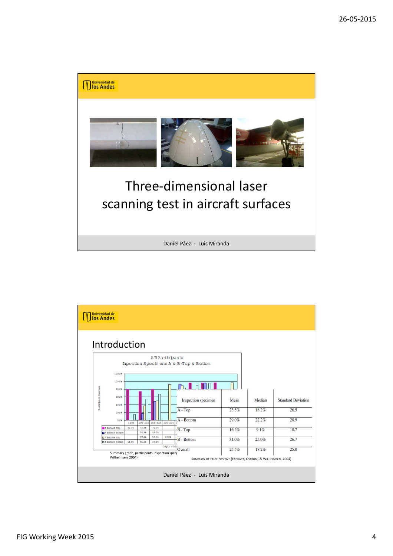

Daniel Páez - Luis Miranda

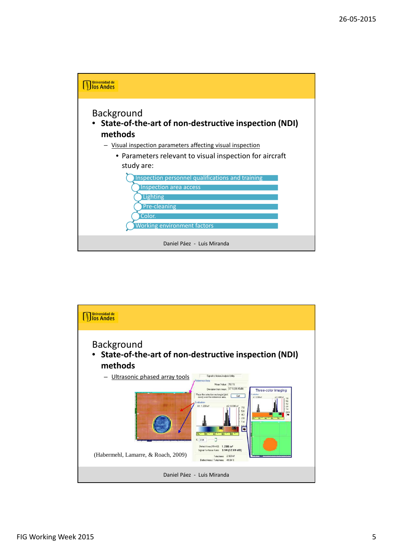

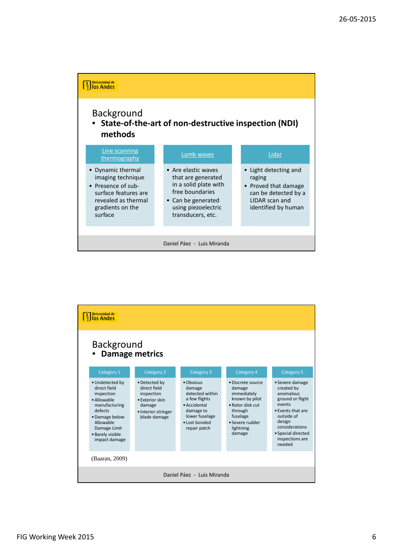

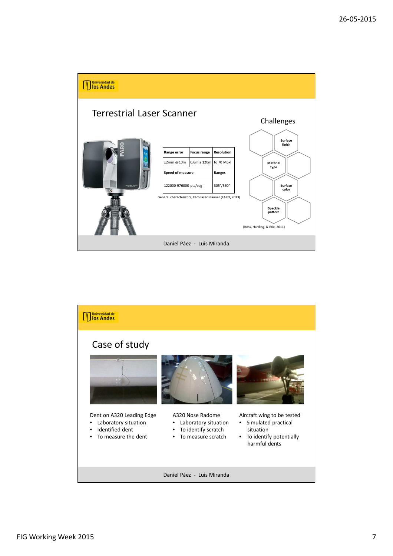



FIG Working Week 2015 7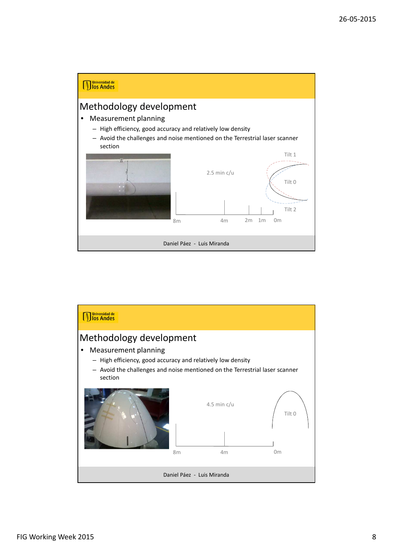

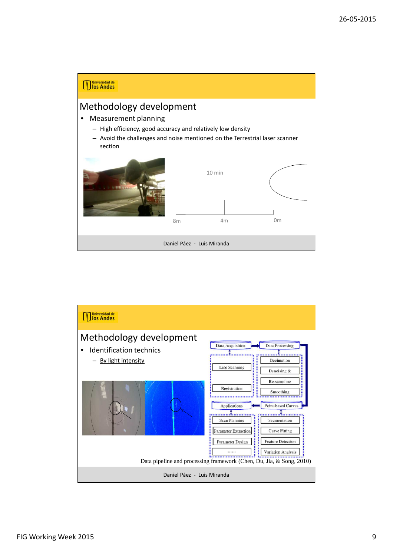

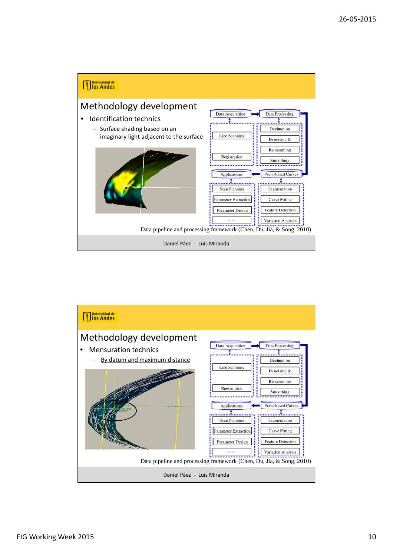

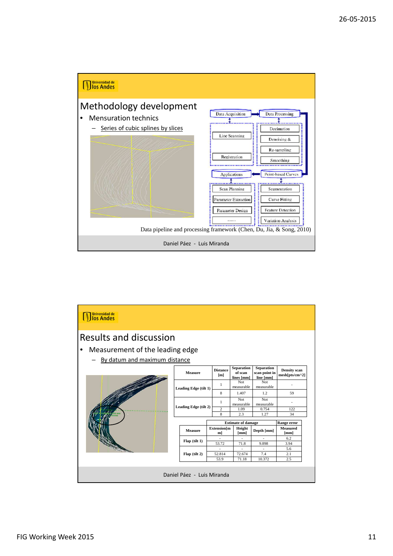

| <b>Juniversidad de</b><br>Jos Andes |                       |                           |                                            |                                                 |                                       |
|-------------------------------------|-----------------------|---------------------------|--------------------------------------------|-------------------------------------------------|---------------------------------------|
| <b>Results and discussion</b>       |                       |                           |                                            |                                                 |                                       |
| Measurement of the leading edge     |                       |                           |                                            |                                                 |                                       |
| By datum and maximum distance       |                       |                           |                                            |                                                 |                                       |
|                                     | <b>Measure</b>        | <b>Distance</b><br>[m]    | <b>Separation</b><br>of scan<br>lines [mm] | <b>Separation</b><br>scan point in<br>line [mm] | <b>Density</b> scan<br>mesh[pts/cm^2] |
|                                     | Leading Edge (tilt 1) | $\mathbf{1}$              | Not<br>measurable                          | Not<br>measurable                               |                                       |
|                                     |                       | 8                         | 1.407                                      | 1.2                                             | 59                                    |
|                                     | Leading Edge (tilt 2) | 1                         | Not<br>measurable                          | Not<br>measurable                               |                                       |
|                                     |                       | $\overline{c}$            | 1.09                                       | 0.754                                           | 122                                   |
|                                     | 8<br>2.3<br>1.27      |                           |                                            | 34                                              |                                       |
|                                     |                       | <b>Estimate of damage</b> |                                            | Range error                                     |                                       |
|                                     | <b>Measure</b>        | Extension[m<br>m          | Height<br>[mm]                             | Depth [mm]                                      | Measured<br>[mm]                      |
|                                     | $Flap$ (tilt 1)       |                           |                                            |                                                 | 6.2                                   |
|                                     |                       | 53.72                     | 71.8                                       | 9.898                                           | 3.94                                  |
|                                     | $Flap$ (tilt 2)       | 52.814                    | 72.674                                     | $\overline{\phantom{a}}$<br>7.4                 | 5.6<br>2.1                            |
|                                     |                       | 53.9                      | 71.18                                      | 10.372                                          | 2.5                                   |
| Daniel Páez - Luis Miranda          |                       |                           |                                            |                                                 |                                       |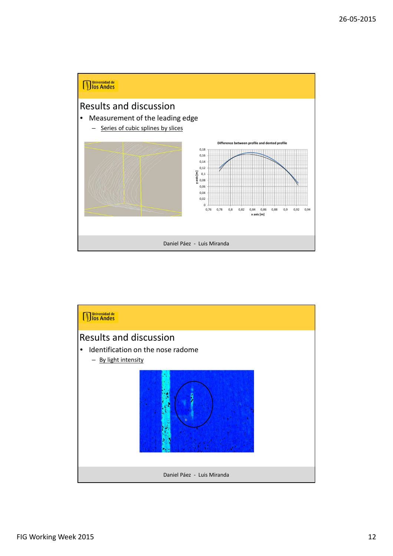

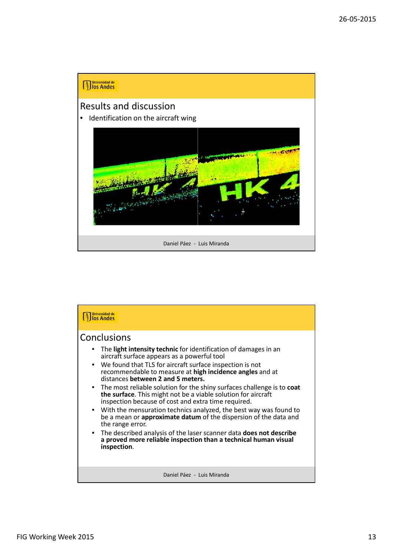## **Muniversidad de**<br>**Microsoft Andes** Results and discussion • Identification on the aircraft wing **PART REPORT** Daniel Páez - Luis Miranda

| <b>Universidad de</b><br>los Andes                                                                                                                                                                                                                                                                                                                                                                                                                                                                                                                                                                                                                              |
|-----------------------------------------------------------------------------------------------------------------------------------------------------------------------------------------------------------------------------------------------------------------------------------------------------------------------------------------------------------------------------------------------------------------------------------------------------------------------------------------------------------------------------------------------------------------------------------------------------------------------------------------------------------------|
| Conclusions<br>The light intensity technic for identification of damages in an<br>aircraft surface appears as a powerful tool<br>• We found that TLS for aircraft surface inspection is not<br>recommendable to measure at high incidence angles and at<br>distances between 2 and 5 meters.<br>• The most reliable solution for the shiny surfaces challenge is to coat<br>the surface. This might not be a viable solution for aircraft<br>inspection because of cost and extra time required.<br>• With the mensuration technics analyzed, the best way was found to<br>be a mean or approximate datum of the dispersion of the data and<br>the range error. |
| • The described analysis of the laser scanner data does not describe<br>a proved more reliable inspection than a technical human visual<br>inspection.                                                                                                                                                                                                                                                                                                                                                                                                                                                                                                          |
| Daniel Páez - Luis Miranda                                                                                                                                                                                                                                                                                                                                                                                                                                                                                                                                                                                                                                      |